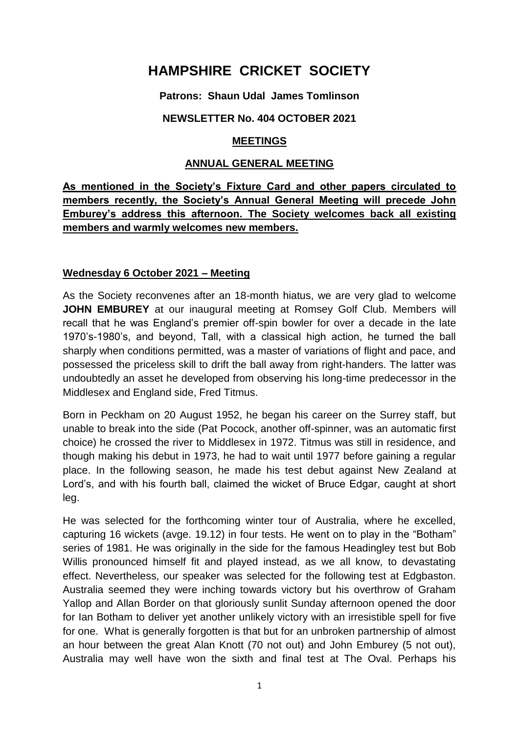# **HAMPSHIRE CRICKET SOCIETY**

## **Patrons: Shaun Udal James Tomlinson**

## **NEWSLETTER No. 404 OCTOBER 2021**

## **MEETINGS**

### **ANNUAL GENERAL MEETING**

# **As mentioned in the Society's Fixture Card and other papers circulated to members recently, the Society's Annual General Meeting will precede John Emburey's address this afternoon. The Society welcomes back all existing members and warmly welcomes new members.**

## **Wednesday 6 October 2021 – Meeting**

As the Society reconvenes after an 18-month hiatus, we are very glad to welcome **JOHN EMBUREY** at our inaugural meeting at Romsey Golf Club. Members will recall that he was England's premier off-spin bowler for over a decade in the late 1970's-1980's, and beyond, Tall, with a classical high action, he turned the ball sharply when conditions permitted, was a master of variations of flight and pace, and possessed the priceless skill to drift the ball away from right-handers. The latter was undoubtedly an asset he developed from observing his long-time predecessor in the Middlesex and England side, Fred Titmus.

Born in Peckham on 20 August 1952, he began his career on the Surrey staff, but unable to break into the side (Pat Pocock, another off-spinner, was an automatic first choice) he crossed the river to Middlesex in 1972. Titmus was still in residence, and though making his debut in 1973, he had to wait until 1977 before gaining a regular place. In the following season, he made his test debut against New Zealand at Lord's, and with his fourth ball, claimed the wicket of Bruce Edgar, caught at short leg.

He was selected for the forthcoming winter tour of Australia, where he excelled, capturing 16 wickets (avge. 19.12) in four tests. He went on to play in the "Botham" series of 1981. He was originally in the side for the famous Headingley test but Bob Willis pronounced himself fit and played instead, as we all know, to devastating effect. Nevertheless, our speaker was selected for the following test at Edgbaston. Australia seemed they were inching towards victory but his overthrow of Graham Yallop and Allan Border on that gloriously sunlit Sunday afternoon opened the door for Ian Botham to deliver yet another unlikely victory with an irresistible spell for five for one. What is generally forgotten is that but for an unbroken partnership of almost an hour between the great Alan Knott (70 not out) and John Emburey (5 not out), Australia may well have won the sixth and final test at The Oval. Perhaps his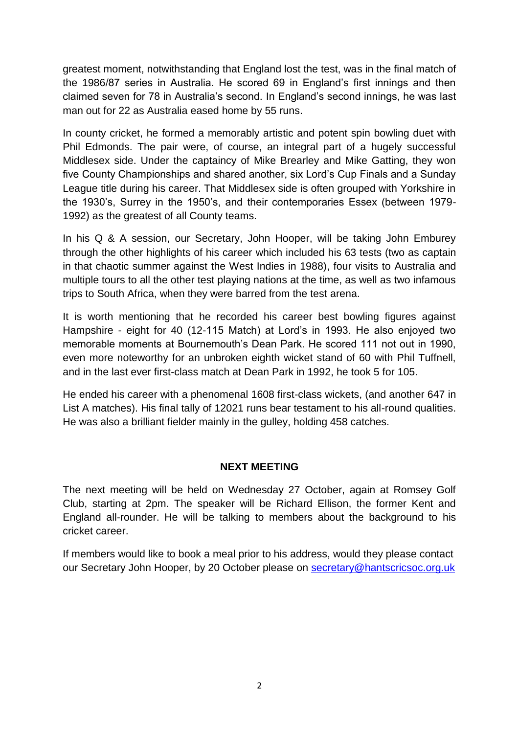greatest moment, notwithstanding that England lost the test, was in the final match of the 1986/87 series in Australia. He scored 69 in England's first innings and then claimed seven for 78 in Australia's second. In England's second innings, he was last man out for 22 as Australia eased home by 55 runs.

In county cricket, he formed a memorably artistic and potent spin bowling duet with Phil Edmonds. The pair were, of course, an integral part of a hugely successful Middlesex side. Under the captaincy of Mike Brearley and Mike Gatting, they won five County Championships and shared another, six Lord's Cup Finals and a Sunday League title during his career. That Middlesex side is often grouped with Yorkshire in the 1930's, Surrey in the 1950's, and their contemporaries Essex (between 1979- 1992) as the greatest of all County teams.

In his Q & A session, our Secretary, John Hooper, will be taking John Emburey through the other highlights of his career which included his 63 tests (two as captain in that chaotic summer against the West Indies in 1988), four visits to Australia and multiple tours to all the other test playing nations at the time, as well as two infamous trips to South Africa, when they were barred from the test arena.

It is worth mentioning that he recorded his career best bowling figures against Hampshire - eight for 40 (12-115 Match) at Lord's in 1993. He also enjoyed two memorable moments at Bournemouth's Dean Park. He scored 111 not out in 1990, even more noteworthy for an unbroken eighth wicket stand of 60 with Phil Tuffnell, and in the last ever first-class match at Dean Park in 1992, he took 5 for 105.

He ended his career with a phenomenal 1608 first-class wickets, (and another 647 in List A matches). His final tally of 12021 runs bear testament to his all-round qualities. He was also a brilliant fielder mainly in the gulley, holding 458 catches.

#### **NEXT MEETING**

The next meeting will be held on Wednesday 27 October, again at Romsey Golf Club, starting at 2pm. The speaker will be Richard Ellison, the former Kent and England all-rounder. He will be talking to members about the background to his cricket career.

If members would like to book a meal prior to his address, would they please contact our Secretary John Hooper, by 20 October please on [secretary@hantscricsoc.org.uk](mailto:secretary@hantscricsoc.org.uk)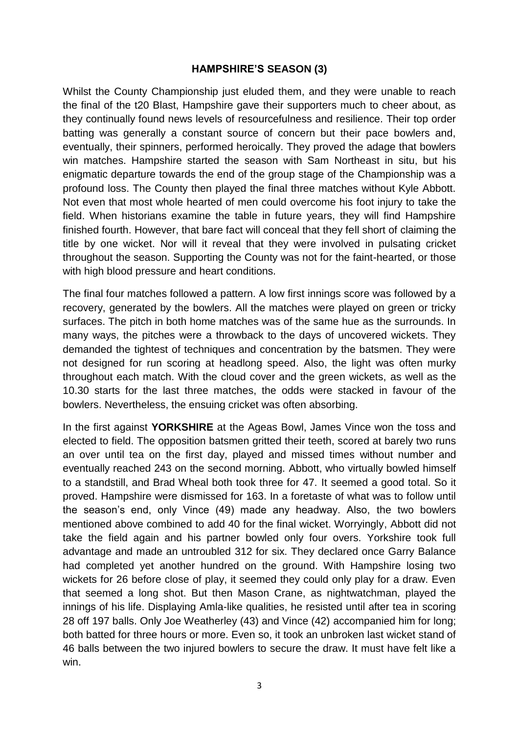## **HAMPSHIRE'S SEASON (3)**

Whilst the County Championship just eluded them, and they were unable to reach the final of the t20 Blast, Hampshire gave their supporters much to cheer about, as they continually found news levels of resourcefulness and resilience. Their top order batting was generally a constant source of concern but their pace bowlers and, eventually, their spinners, performed heroically. They proved the adage that bowlers win matches. Hampshire started the season with Sam Northeast in situ, but his enigmatic departure towards the end of the group stage of the Championship was a profound loss. The County then played the final three matches without Kyle Abbott. Not even that most whole hearted of men could overcome his foot injury to take the field. When historians examine the table in future years, they will find Hampshire finished fourth. However, that bare fact will conceal that they fell short of claiming the title by one wicket. Nor will it reveal that they were involved in pulsating cricket throughout the season. Supporting the County was not for the faint-hearted, or those with high blood pressure and heart conditions.

The final four matches followed a pattern. A low first innings score was followed by a recovery, generated by the bowlers. All the matches were played on green or tricky surfaces. The pitch in both home matches was of the same hue as the surrounds. In many ways, the pitches were a throwback to the days of uncovered wickets. They demanded the tightest of techniques and concentration by the batsmen. They were not designed for run scoring at headlong speed. Also, the light was often murky throughout each match. With the cloud cover and the green wickets, as well as the 10.30 starts for the last three matches, the odds were stacked in favour of the bowlers. Nevertheless, the ensuing cricket was often absorbing.

In the first against **YORKSHIRE** at the Ageas Bowl, James Vince won the toss and elected to field. The opposition batsmen gritted their teeth, scored at barely two runs an over until tea on the first day, played and missed times without number and eventually reached 243 on the second morning. Abbott, who virtually bowled himself to a standstill, and Brad Wheal both took three for 47. It seemed a good total. So it proved. Hampshire were dismissed for 163. In a foretaste of what was to follow until the season's end, only Vince (49) made any headway. Also, the two bowlers mentioned above combined to add 40 for the final wicket. Worryingly, Abbott did not take the field again and his partner bowled only four overs. Yorkshire took full advantage and made an untroubled 312 for six. They declared once Garry Balance had completed yet another hundred on the ground. With Hampshire losing two wickets for 26 before close of play, it seemed they could only play for a draw. Even that seemed a long shot. But then Mason Crane, as nightwatchman, played the innings of his life. Displaying Amla-like qualities, he resisted until after tea in scoring 28 off 197 balls. Only Joe Weatherley (43) and Vince (42) accompanied him for long; both batted for three hours or more. Even so, it took an unbroken last wicket stand of 46 balls between the two injured bowlers to secure the draw. It must have felt like a win.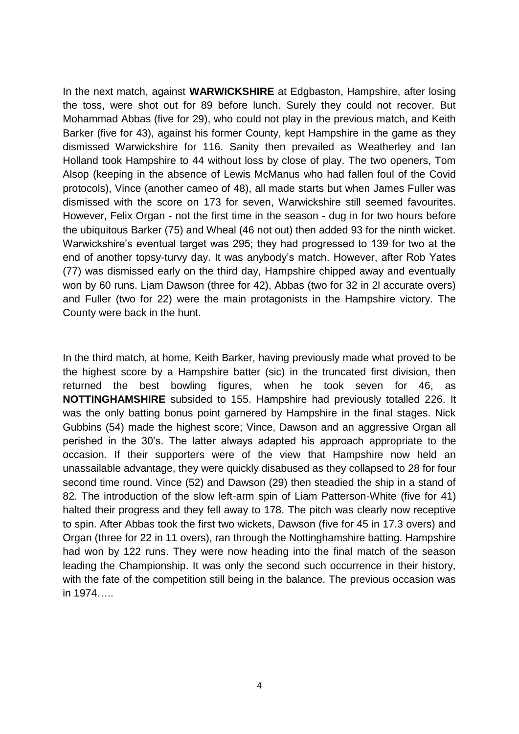In the next match, against **WARWICKSHIRE** at Edgbaston, Hampshire, after losing the toss, were shot out for 89 before lunch. Surely they could not recover. But Mohammad Abbas (five for 29), who could not play in the previous match, and Keith Barker (five for 43), against his former County, kept Hampshire in the game as they dismissed Warwickshire for 116. Sanity then prevailed as Weatherley and Ian Holland took Hampshire to 44 without loss by close of play. The two openers, Tom Alsop (keeping in the absence of Lewis McManus who had fallen foul of the Covid protocols), Vince (another cameo of 48), all made starts but when James Fuller was dismissed with the score on 173 for seven, Warwickshire still seemed favourites. However, Felix Organ - not the first time in the season - dug in for two hours before the ubiquitous Barker (75) and Wheal (46 not out) then added 93 for the ninth wicket. Warwickshire's eventual target was 295; they had progressed to 139 for two at the end of another topsy-turvy day. It was anybody's match. However, after Rob Yates (77) was dismissed early on the third day, Hampshire chipped away and eventually won by 60 runs. Liam Dawson (three for 42), Abbas (two for 32 in 2l accurate overs) and Fuller (two for 22) were the main protagonists in the Hampshire victory. The County were back in the hunt.

In the third match, at home, Keith Barker, having previously made what proved to be the highest score by a Hampshire batter (sic) in the truncated first division, then returned the best bowling figures, when he took seven for 46, as **NOTTINGHAMSHIRE** subsided to 155. Hampshire had previously totalled 226. It was the only batting bonus point garnered by Hampshire in the final stages. Nick Gubbins (54) made the highest score; Vince, Dawson and an aggressive Organ all perished in the 30's. The latter always adapted his approach appropriate to the occasion. If their supporters were of the view that Hampshire now held an unassailable advantage, they were quickly disabused as they collapsed to 28 for four second time round. Vince (52) and Dawson (29) then steadied the ship in a stand of 82. The introduction of the slow left-arm spin of Liam Patterson-White (five for 41) halted their progress and they fell away to 178. The pitch was clearly now receptive to spin. After Abbas took the first two wickets, Dawson (five for 45 in 17.3 overs) and Organ (three for 22 in 11 overs), ran through the Nottinghamshire batting. Hampshire had won by 122 runs. They were now heading into the final match of the season leading the Championship. It was only the second such occurrence in their history, with the fate of the competition still being in the balance. The previous occasion was in 1974…..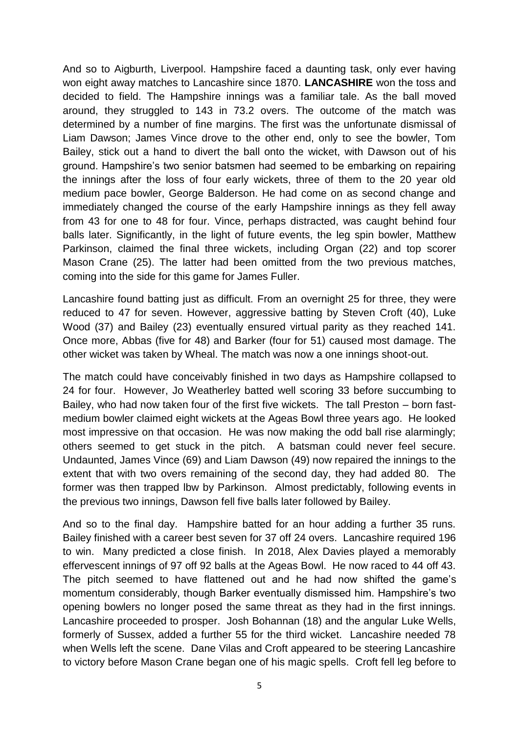And so to Aigburth, Liverpool. Hampshire faced a daunting task, only ever having won eight away matches to Lancashire since 1870. **LANCASHIRE** won the toss and decided to field. The Hampshire innings was a familiar tale. As the ball moved around, they struggled to 143 in 73.2 overs. The outcome of the match was determined by a number of fine margins. The first was the unfortunate dismissal of Liam Dawson; James Vince drove to the other end, only to see the bowler, Tom Bailey, stick out a hand to divert the ball onto the wicket, with Dawson out of his ground. Hampshire's two senior batsmen had seemed to be embarking on repairing the innings after the loss of four early wickets, three of them to the 20 year old medium pace bowler, George Balderson. He had come on as second change and immediately changed the course of the early Hampshire innings as they fell away from 43 for one to 48 for four. Vince, perhaps distracted, was caught behind four balls later. Significantly, in the light of future events, the leg spin bowler, Matthew Parkinson, claimed the final three wickets, including Organ (22) and top scorer Mason Crane (25). The latter had been omitted from the two previous matches, coming into the side for this game for James Fuller.

Lancashire found batting just as difficult. From an overnight 25 for three, they were reduced to 47 for seven. However, aggressive batting by Steven Croft (40), Luke Wood (37) and Bailey (23) eventually ensured virtual parity as they reached 141. Once more, Abbas (five for 48) and Barker (four for 51) caused most damage. The other wicket was taken by Wheal. The match was now a one innings shoot-out.

The match could have conceivably finished in two days as Hampshire collapsed to 24 for four. However, Jo Weatherley batted well scoring 33 before succumbing to Bailey, who had now taken four of the first five wickets. The tall Preston – born fastmedium bowler claimed eight wickets at the Ageas Bowl three years ago. He looked most impressive on that occasion. He was now making the odd ball rise alarmingly; others seemed to get stuck in the pitch. A batsman could never feel secure. Undaunted, James Vince (69) and Liam Dawson (49) now repaired the innings to the extent that with two overs remaining of the second day, they had added 80. The former was then trapped lbw by Parkinson. Almost predictably, following events in the previous two innings, Dawson fell five balls later followed by Bailey.

And so to the final day. Hampshire batted for an hour adding a further 35 runs. Bailey finished with a career best seven for 37 off 24 overs. Lancashire required 196 to win. Many predicted a close finish. In 2018, Alex Davies played a memorably effervescent innings of 97 off 92 balls at the Ageas Bowl. He now raced to 44 off 43. The pitch seemed to have flattened out and he had now shifted the game's momentum considerably, though Barker eventually dismissed him. Hampshire's two opening bowlers no longer posed the same threat as they had in the first innings. Lancashire proceeded to prosper. Josh Bohannan (18) and the angular Luke Wells, formerly of Sussex, added a further 55 for the third wicket. Lancashire needed 78 when Wells left the scene. Dane Vilas and Croft appeared to be steering Lancashire to victory before Mason Crane began one of his magic spells. Croft fell leg before to